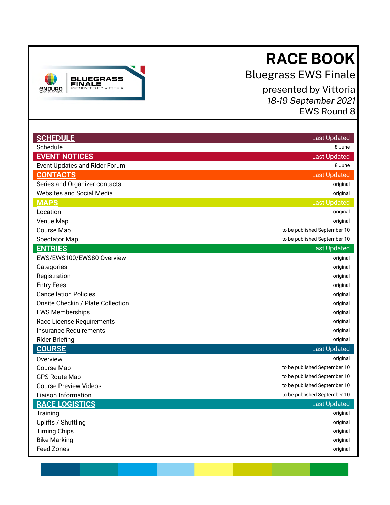# **RACE BOOK**

Bluegrass EWS Finale

 presented by Vittoria  *18-19 September 2021*  EWS Round 8

<span id="page-0-0"></span>

| <b>SCHEDULE</b>                      | <b>Last Updated</b>          |
|--------------------------------------|------------------------------|
| Schedule                             | 8 June                       |
| <b>EVENT NOTICES</b>                 | <b>Last Updated</b>          |
| <b>Event Updates and Rider Forum</b> | 8 June                       |
| <b>CONTACTS</b>                      | <b>Last Updated</b>          |
| Series and Organizer contacts        | original                     |
| <b>Websites and Social Media</b>     | original                     |
| <b>MAPS</b>                          | <b>Last Updated</b>          |
| Location                             | original                     |
| Venue Map                            | original                     |
| <b>Course Map</b>                    | to be published September 10 |
| <b>Spectator Map</b>                 | to be published September 10 |
| <b>ENTRIES</b>                       | <b>Last Updated</b>          |
| EWS/EWS100/EWS80 Overview            | original                     |
| Categories                           | original                     |
| Registration                         | original                     |
| <b>Entry Fees</b>                    | original                     |
| <b>Cancellation Policies</b>         | original                     |
| Onsite Checkin / Plate Collection    | original                     |
| <b>EWS Memberships</b>               | original                     |
| Race License Requirements            | original                     |
| Insurance Requirements               | original                     |
| <b>Rider Briefing</b>                | original                     |
| <b>COURSE</b>                        | <b>Last Updated</b>          |
| Overview                             | original                     |
| Course Map                           | to be published September 10 |
| <b>GPS Route Map</b>                 | to be published September 10 |
| <b>Course Preview Videos</b>         | to be published September 10 |
| Liaison Information                  | to be published September 10 |
| <b>RACE LOGISTICS</b>                | <b>Last Updated</b>          |
| Training                             | original                     |
| Uplifts / Shuttling                  | original                     |
| <b>Timing Chips</b>                  | original                     |
| <b>Bike Marking</b>                  | original                     |
| <b>Feed Zones</b>                    | original                     |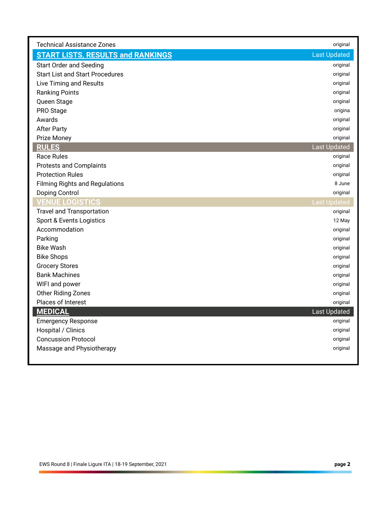| <b>Technical Assistance Zones</b>        | original            |
|------------------------------------------|---------------------|
| <b>START LISTS, RESULTS and RANKINGS</b> | <b>Last Updated</b> |
| <b>Start Order and Seeding</b>           | original            |
| <b>Start List and Start Procedures</b>   | original            |
| Live Timing and Results                  | original            |
| <b>Ranking Points</b>                    | original            |
| Queen Stage                              | original            |
| PRO Stage                                | origina             |
| Awards                                   | original            |
| <b>After Party</b>                       | original            |
| Prize Money                              | original            |
| <b>RULES</b>                             | <b>Last Updated</b> |
| <b>Race Rules</b>                        | original            |
| <b>Protests and Complaints</b>           | original            |
| <b>Protection Rules</b>                  | original            |
| <b>Filming Rights and Regulations</b>    | 8 June              |
| Doping Control                           | original            |
| <b>/ENUE LOGISTICS</b>                   | <b>Last Updated</b> |
| <b>Travel and Transportation</b>         | original            |
| Sport & Events Logistics                 | 12 May              |
| Accommodation                            | original            |
| Parking                                  | original            |
| <b>Bike Wash</b>                         | original            |
| <b>Bike Shops</b>                        | original            |
| <b>Grocery Stores</b>                    | original            |
| <b>Bank Machines</b>                     | original            |
| WIFI and power                           | original            |
| Other Riding Zones                       | original            |
| Places of Interest                       | original            |
| <b>MEDICAL</b>                           | <b>Last Updated</b> |
| <b>Emergency Response</b>                | original            |
| Hospital / Clinics                       | original            |
| <b>Concussion Protocol</b>               | original            |
| Massage and Physiotherapy                | original            |
|                                          |                     |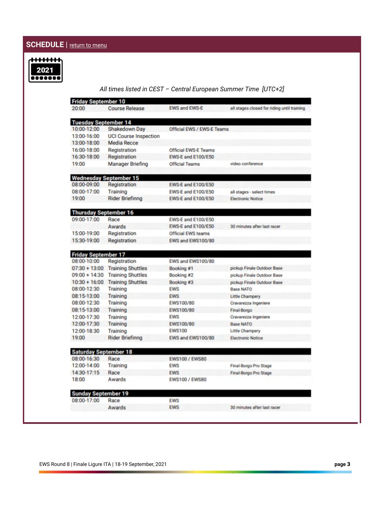# <span id="page-2-0"></span>**SCHEDULE** | <u>return to menu</u>



# *All times listed in CEST – Central European Summer Time [UTC+2]*

| <b>Friday September 10</b>   |                                 |                                   |                                             |
|------------------------------|---------------------------------|-----------------------------------|---------------------------------------------|
| 20:00                        | <b>Course Release</b>           | <b>EWS and EWS-E</b>              | all stages closed for riding until training |
| <b>Tuesday September 14</b>  |                                 |                                   |                                             |
| 10:00-12:00                  | <b>Shakedown Day</b>            | <b>Official EWS / EWS-E Teams</b> |                                             |
| 13:00-16:00                  | <b>UCI Course Inspection</b>    |                                   |                                             |
| 13:00-18:00                  | <b>Media Recce</b>              |                                   |                                             |
| 16:00-18:00                  | Registration                    | <b>Official EWS-E Teams</b>       |                                             |
| 16:30-18:00                  | Registration                    | <b>EWS-E and E100/E50</b>         |                                             |
| 19:00                        | <b>Manager Briefing</b>         | <b>Official Teams</b>             | video conference                            |
|                              | <b>Wednesday September 15</b>   |                                   |                                             |
| 08:00-09:00                  | Registration                    | EWS-E and E100/E50                |                                             |
| 08:00-17:00                  | Training                        | EWS-E and E100/E50                | all stages - select times                   |
| 19:00                        | <b>Rider Briefinng</b>          | <b>EWS E and E100/E50</b>         | <b>Electronic Notice</b>                    |
| <b>Thursday September 16</b> |                                 |                                   |                                             |
| 09:00-17:00                  | Race                            | <b>EWS-E and E100/E50</b>         |                                             |
|                              | Awards                          | <b>EWS E and E100/E50</b>         | 30 minutes after last racer                 |
| 15:00-19:00                  | Registration                    | <b>Official EWS teams</b>         |                                             |
| 15:30-19:00                  | Registration                    | EWS and EWS100/80                 |                                             |
| <b>Friday September 17</b>   |                                 |                                   |                                             |
| 08:00-10:00                  | Registration                    | EWS and EWS100/80                 |                                             |
|                              | 07:30 + 13:00 Training Shuttles | Booking #1                        | pickup Finale Outdoor Base                  |
| $09:00 + 14:30$              | <b>Training Shuttles</b>        | Booking #2                        | pickup Finale Outdoor Base                  |
| $10:30 + 16:00$              | <b>Training Shuttles</b>        | Booking #3                        | pickup Finale Outdoor Base                  |
| 08:00-12:30                  | Training                        | <b>EWS</b>                        | <b>Base NATO</b>                            |
| 08:15-13:00                  | Training                        | <b>EWS</b>                        | <b>Little Champery</b>                      |
| 08:00-12:30                  | Training                        | EWS100/80                         | Cravarezza Ingeniere                        |
| 08:15-13:00                  | Training                        | EWS100/80                         | Final-Borgo                                 |
| 12:00-17:30                  | Training                        | <b>EWS</b>                        | Cravarezza Ingeniere                        |
| 12:00-17:30                  | <b>Training</b>                 | EWS100/80                         | <b>Base NATO</b>                            |
| 12:00-18:30                  | <b>Training</b>                 | <b>EWS100</b>                     | <b>Little Champery</b>                      |
| 19:00                        | <b>Rider Briefinng</b>          | EWS and EWS100/80                 | <b>Electronic Notice</b>                    |
| <b>Saturday September 18</b> |                                 |                                   |                                             |
| 08:00-16:30                  | Race                            | <b>EWS100 / EWS80</b>             |                                             |
| 12:00-14:00                  | Training                        | <b>EWS</b>                        | <b>Final-Borgo Pro Stage</b>                |
| 14:30-17:15                  | Race                            | <b>EWS</b>                        | <b>Final-Borgo Pro Stage</b>                |
| 18:00                        | Awards                          | <b>EWS100 / EWS80</b>             |                                             |
| <b>Sunday September 19</b>   |                                 |                                   |                                             |
| 08:00-17:00                  | Race                            | <b>EWS</b>                        |                                             |
|                              | Awards                          | <b>EWS</b>                        | 30 minutes after last racer                 |
|                              |                                 |                                   |                                             |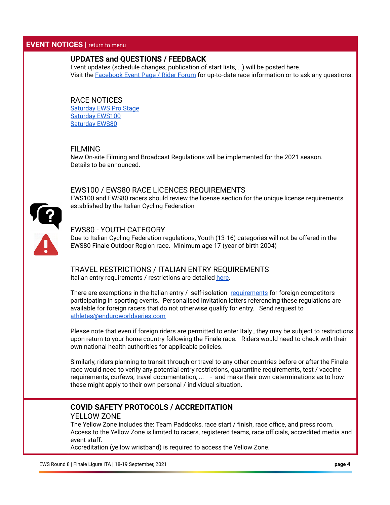#### <span id="page-3-0"></span>**EVENT NOTICES** | return to menu

### **UPDATES and QUESTIONS / FEEDBACK**

 Event updates (schedule changes, publication of start lists, …) will be posted here. Visit the [Facebook Event Page / Rider Forum](https://www.facebook.com/events/825649421617376/?acontext=%7B%22action_history%22%3A[%7B%22surface%22%3A%22page%22%2C%22mechanism%22%3A%22page_admin_bar%22%2C%22extra_data%22%3A%22%7B%5C%22page_id%5C%22%3A193009850836051%7D%22%7D%2C%7B%22surface%22%3A%22events_admin_tool%22%2C%22mechanism%22%3A%22recommended_actions%22%2C%22extra_data%22%3A%22[]%22%7D]%2C%22has_source%22%3Atrue%7D) for up-to-date race information or to ask any questions.

### RACE NOTICES

 [Saturday EWS Pro Stage](https://mailchi.mp/a10df9f89a88/finale-ews-pro-stage-start-list-5099614?e=[UNIQID])  [Saturday EWS100](https://mailchi.mp/c8c068d2172b/finale-ews-pro-stage-start-list-5099618?e=[UNIQID])   [Saturday EWS80](https://mailchi.mp/dcee867e5b8c/finale-ews-pro-stage-start-list-5099626?e=[UNIQID]) 

#### FILMING

 New On-site Filming and Broadcast Regulations will be implemented for the 2021 season. Details to be announced.

## EWS100 / EWS80 RACE LICENCES REQUIREMENTS

 EWS100 and EWS80 racers should review the license section for the unique license requirements established by the Italian Cycling Federation



#### EWS80 - YOUTH CATEGORY

 Due to Italian Cycling Federation regulations, Youth (13-16) categories will not be offered in the EWS80 Finale Outdoor Region race. Minimum age 17 (year of birth 2004)

#### TRAVEL RESTRICTIONS / ITALIAN ENTRY REQUIREMENTS Italian entry requirements / restrictions are detailed [here](https://www.salute.gov.it/portale/nuovocoronavirus/dettaglioContenutiNuovoCoronavirus.jsp?lingua=english&id=5412&area=nuovoCoronavirus&menu=vuoto).

 There are exemptions in the Italian entry / self-isolation [requirements](https://www.salute.gov.it/portale/nuovocoronavirus/dettaglioContenutiNuovoCoronavirus.jsp?lingua=english&id=5412&area=nuovoCoronavirus&menu=vuoto&tab=9) for foreign competitors participating in sporting events. Personalised invitation letters referencing these regulations are available for foreign racers that do not otherwise qualify for entry. Send request to  [athletes@enduroworldseries.com](mailto:athletes@enduroworldseries.com) 

 Please note that even if foreign riders are permitted to enter Italy , they may be subject to restrictions upon return to your home country following the Finale race. Riders would need to check with their own national health authorities for applicable policies.

 Similarly, riders planning to transit through or travel to any other countries before or after the Finale race would need to verify any potential entry restrictions, quarantine requirements, test / vaccine requirements, curfews, travel documentation, ... - and make their own determinations as to how these might apply to their own personal / individual situation.

# **COVID SAFETY PROTOCOLS / ACCREDITATION**

#### YELLOW ZONE

 The Yellow Zone includes the: Team Paddocks, race start / finish, race office, and press room. Access to the Yellow Zone is limited to racers, registered teams, race officials, accredited media and event staff.

Accreditation (yellow wristband) is required to access the Yellow Zone.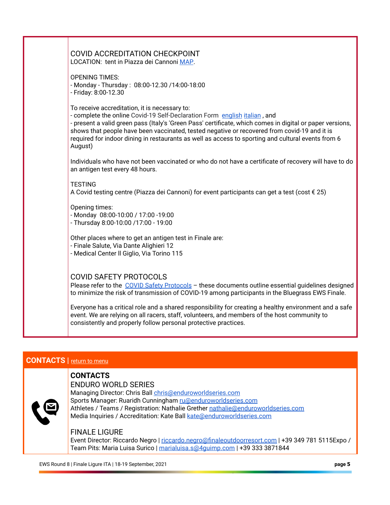| COVID ACCREDITATION CHECKPOINT<br>LOCATION: tent in Piazza dei Cannoni MAP.                                                                                                                                                                                                                                                                                                                                                                              |
|----------------------------------------------------------------------------------------------------------------------------------------------------------------------------------------------------------------------------------------------------------------------------------------------------------------------------------------------------------------------------------------------------------------------------------------------------------|
| <b>OPENING TIMES:</b><br>- Monday - Thursday: 08:00-12.30 /14:00-18:00<br>- Friday: 8:00-12.30                                                                                                                                                                                                                                                                                                                                                           |
| To receive accreditation, it is necessary to:<br>- complete the online Covid-19 Self-Declaration Form english italian, and<br>- present a valid green pass (Italy's 'Green Pass' certificate, which comes in digital or paper versions,<br>shows that people have been vaccinated, tested negative or recovered from covid-19 and it is<br>required for indoor dining in restaurants as well as access to sporting and cultural events from 6<br>August) |
| Individuals who have not been vaccinated or who do not have a certificate of recovery will have to do<br>an antigen test every 48 hours.                                                                                                                                                                                                                                                                                                                 |
| <b>TESTING</b><br>A Covid testing centre (Piazza dei Cannoni) for event participants can get a test (cost € 25)                                                                                                                                                                                                                                                                                                                                          |
| Opening times:<br>- Monday 08:00-10:00 / 17:00 -19:00<br>- Thursday 8:00-10:00 /17:00 - 19:00                                                                                                                                                                                                                                                                                                                                                            |
| Other places where to get an antigen test in Finale are:<br>- Finale Salute, Via Dante Alighieri 12<br>- Medical Center Il Giglio, Via Torino 115                                                                                                                                                                                                                                                                                                        |
| <b>COVID SAFETY PROTOCOLS</b><br>Please refer to the COVID Safety Protocols - these documents outline essential guidelines designed<br>to minimize the risk of transmission of COVID-19 among participants in the Bluegrass EWS Finale.                                                                                                                                                                                                                  |
| Everyone has a critical role and a shared responsibility for creating a healthy environment and a safe<br>event. We are relying on all racers, staff, volunteers, and members of the host community to<br>consistently and properly follow personal protective practices.                                                                                                                                                                                |

# <span id="page-4-0"></span>**CONTACTS** | return to menu

# **CONTACTS**

### ENDURO WORLD SERIES

Managing Director: Chris Ball chris@enduroworldseries.com Sports Manager: Ruaridh Cunningham [ru@enduroworldseries.com](mailto:ru@enduroworldseries.com) Athletes / Teams / Registration: Nathalie Grether nathalie@enduroworldseries.com Media Inquiries / Accreditation: Kate Ball kate@enduroworldseries.com

#### FINALE LIGURE

Event Director: Riccardo Negro | [riccardo.negro@finaleoutdoorresort.com](mailto:riccardo.negro@finaleoutdoorresort.com) | +39 349 781 5115Expo / Team Pits: Maria Luisa Surico | marialuisa.s@4quimp.com | +39 333 3871844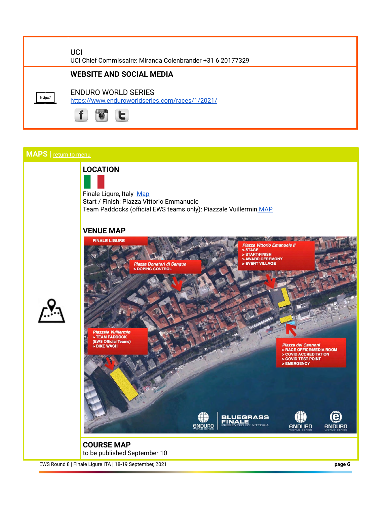

# <span id="page-5-0"></span> **MAPS** | [return to menu](#page-0-0)



Finale Ligure, Italy Map Start / Finish: Piazza Vittorio Emmanuele Team Paddocks (official EWS teams only): Piazzale Vuillermin MAP

## **VENUE MAP**



to be published September 10

EWS Round 8 | Finale Ligure ITA | 18-19 September, 2021 **page 6**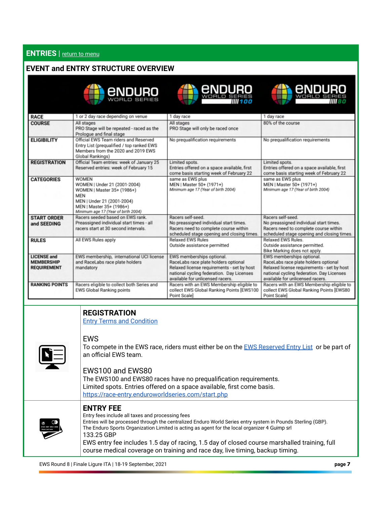# <span id="page-6-0"></span> **ENTRIES** | [return to menu](#page-0-0)

## **EVENT and ENTRY STRUCTURE OVERVIEW**

|  | enduro       |  |
|--|--------------|--|
|  |              |  |
|  | WORLD SERIES |  |





| <b>RACE</b>                                                   | 1 or 2 day race depending on venue                                                                                                                                                        | 1 day race                                                                                                                                                                                       | 1 day race                                                                                                                                                                                       |
|---------------------------------------------------------------|-------------------------------------------------------------------------------------------------------------------------------------------------------------------------------------------|--------------------------------------------------------------------------------------------------------------------------------------------------------------------------------------------------|--------------------------------------------------------------------------------------------------------------------------------------------------------------------------------------------------|
| <b>COURSE</b>                                                 | All stages<br>PRO Stage will be repeated - raced as the<br>Prologue and final stage                                                                                                       | All stages<br>PRO Stage will only be raced once                                                                                                                                                  | 80% of the course                                                                                                                                                                                |
| <b>ELIGIBILITY</b>                                            | Official EWS Team riders and Reserved<br>Entry List (prequalified / top ranked EWS<br>Members from the 2020 and 2019 EWS<br>Global Rankings)                                              | No prequalification requirements                                                                                                                                                                 | No prequalification requirements                                                                                                                                                                 |
| <b>REGISTRATION</b>                                           | Official Team entries: week of January 25<br>Reserved entries: week of February 15                                                                                                        | Limited spots.<br>Entries offered on a space available, first<br>come basis starting week of February 22                                                                                         | Limited spots.<br>Entries offered on a space available, first<br>come basis starting week of February 22                                                                                         |
| <b>CATEGORIES</b>                                             | <b>WOMEN</b><br>WOMEN   Under 21 (2001-2004)<br>WOMEN   Master 35+ (1986+)<br><b>MEN</b><br>MEN   Under 21 (2001-2004)<br>MEN   Master 35+ (1986+)<br>Minimum age 17 (Year of birth 2004) | same as EWS plus<br>MEN   Master 50+ (1971+)<br>Minimum age 17 (Year of birth 2004)                                                                                                              | same as EWS plus<br>MEN   Master 50+ (1971+)<br>Minimum age 17 (Year of birth 2004)                                                                                                              |
| <b>START ORDER</b><br>and SEEDING                             | Racers seeded based on EWS rank.<br>Preassigned individual start times - all<br>racers start at 30 second intervals.                                                                      | Racers self-seed.<br>No preassigned individual start times.<br>Racers need to complete course within<br>scheduled stage opening and closing times.                                               | Racers self-seed.<br>No preassigned individual start times.<br>Racers need to complete course within<br>scheduled stage opening and closing times.                                               |
| <b>RULES</b>                                                  | All EWS Rules apply                                                                                                                                                                       | <b>Relaxed EWS Rules</b><br>Outside assistance permitted                                                                                                                                         | <b>Relaxed EWS Rules</b><br>Outside assistance permitted.<br>Bike Marking does not apply.                                                                                                        |
| <b>LICENSE and</b><br><b>MEMBERSHIP</b><br><b>REQUIREMENT</b> | EWS membership, international UCI license<br>and RaceLabs race plate holders<br>mandatory                                                                                                 | EWS memberships optional.<br>RaceLabs race plate holders optional<br>Relaxed license requirements - set by host<br>national cycling federation. Day Licenses<br>available for unlicensed racers. | EWS memberships optional.<br>RaceLabs race plate holders optional<br>Relaxed license requirements - set by host<br>national cycling federation. Day Licenses<br>available for unlicensed racers. |
| <b>RANKING POINTS</b>                                         | Racers eligible to collect both Series and<br><b>EWS Global Ranking points</b>                                                                                                            | Racers with an EWS Membership eligible to<br>collect EWS Global Ranking Points [EWS100<br>Point Scale]                                                                                           | Racers with an EWS Membership eligible to<br>collect EWS Global Ranking Points [EWS80<br>Point Scale]                                                                                            |

# **REGISTRATION**

 [Entry Terms and Condition](https://www.enduroworldseries.com/ews-entry-overview/race-entry-terms-and-conditions/) 

# EWS

To compete in the EWS race, riders must either be on the [EWS Reserved Entry List](https://www.enduroworldseries.com/reserve/2021/) or be part of an official EWS team.

## EWS100 and EWS80

 The EWS100 and EWS80 races have no prequalification requirements. Limited spots. Entries offered on a space available, first come basis. <https://race-entry.enduroworldseries.com/start.php>



 **ENTRY FEE** 

 Entry fees include all taxes and processing fees Entries will be processed through the centralized Enduro World Series entry system in Pounds Sterling (GBP). The Enduro Sports Organization Limited is acting as agent for the local organizer 4 Guimp srl 133.25 GBP EWS entry fee includes 1.5 day of racing, 1.5 day of closed course marshalled training, full course medical coverage on training and race day, live timing, backup timing.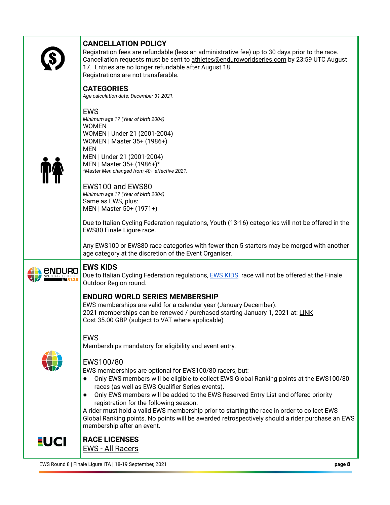|              | EWS Round 8   Finale Ligure ITA   18-19 September, 2021<br>page 8                                                                                                                                                                                                                                                                                                                                                                                                                                                                                                                                                                                                                                                                                                                                                                                                                                                                       |  |
|--------------|-----------------------------------------------------------------------------------------------------------------------------------------------------------------------------------------------------------------------------------------------------------------------------------------------------------------------------------------------------------------------------------------------------------------------------------------------------------------------------------------------------------------------------------------------------------------------------------------------------------------------------------------------------------------------------------------------------------------------------------------------------------------------------------------------------------------------------------------------------------------------------------------------------------------------------------------|--|
| <u>-</u> UCI | <b>RACE LICENSES</b><br><b>EWS - All Racers</b>                                                                                                                                                                                                                                                                                                                                                                                                                                                                                                                                                                                                                                                                                                                                                                                                                                                                                         |  |
|              | <b>ENDURO WORLD SERIES MEMBERSHIP</b><br>EWS memberships are valid for a calendar year (January-December).<br>2021 memberships can be renewed / purchased starting January 1, 2021 at: LINK<br>Cost 35.00 GBP (subject to VAT where applicable)<br><b>EWS</b><br>Memberships mandatory for eligibility and event entry.<br>EWS100/80<br>EWS memberships are optional for EWS100/80 racers, but:<br>Only EWS members will be eligible to collect EWS Global Ranking points at the EWS100/80<br>$\bullet$<br>races (as well as EWS Qualifier Series events).<br>Only EWS members will be added to the EWS Reserved Entry List and offered priority<br>$\bullet$<br>registration for the following season.<br>A rider must hold a valid EWS membership prior to starting the race in order to collect EWS<br>Global Ranking points. No points will be awarded retrospectively should a rider purchase an EWS<br>membership after an event. |  |
|              | <b>EWS KIDS</b><br>Due to Italian Cycling Federation regulations, <b>EWS KIDS</b> race will not be offered at the Finale<br>Outdoor Region round.                                                                                                                                                                                                                                                                                                                                                                                                                                                                                                                                                                                                                                                                                                                                                                                       |  |
|              | <b>CATEGORIES</b><br>Age calculation date: December 31 2021.<br><b>EWS</b><br>Minimum age 17 (Year of birth 2004)<br><b>WOMEN</b><br>WOMEN   Under 21 (2001-2004)<br>WOMEN   Master 35+ (1986+)<br><b>MEN</b><br>MEN   Under 21 (2001-2004)<br>MEN   Master 35+ (1986+)*<br>*Master Men changed from 40+ effective 2021.<br>EWS100 and EWS80<br>Minimum age 17 (Year of birth 2004)<br>Same as EWS, plus:<br>MEN   Master 50+ (1971+)<br>Due to Italian Cycling Federation regulations, Youth (13-16) categories will not be offered in the<br>EWS80 Finale Ligure race.<br>Any EWS100 or EWS80 race categories with fewer than 5 starters may be merged with another<br>age category at the discretion of the Event Organiser.                                                                                                                                                                                                         |  |
|              | Registration fees are refundable (less an administrative fee) up to 30 days prior to the race.<br>Cancellation requests must be sent to athletes@enduroworldseries.com by 23:59 UTC August<br>17. Entries are no longer refundable after August 18.<br>Registrations are not transferable.                                                                                                                                                                                                                                                                                                                                                                                                                                                                                                                                                                                                                                              |  |

 **CANCELLATION POLICY**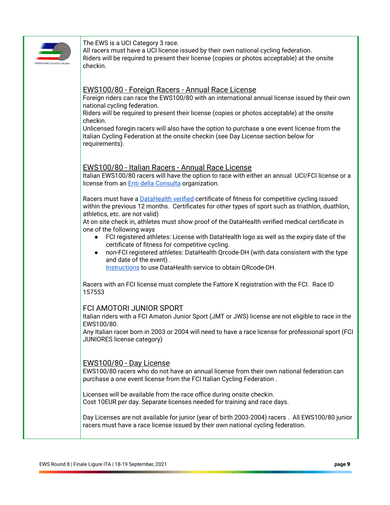

The EWS is a UCI Category 3 race.

 All racers must have a UCI license issued by their own national cycling federation. Riders will be required to present their license (copies or photos acceptable) at the onsite checkin.

### EWS100/80 - Foreign Racers - Annual Race License

 Foreign riders can race the EWS100/80 with an international annual license issued by their own national cycling federation.

 Riders will be required to present their license (copies or photos acceptable) at the onsite checkin.

 Unlicensed foregin racers will also have the option to purchase a one event license from the Italian Cycling Federation at the onsite checkin (see Day License section below for requirements).

#### EWS100/80 - Italian Racers - Annual Race License

 Italian EWS100/80 racers will have the option to race with either an annual UCI/FCI license or a license from an [Enti della Consulta](https://amatoriale.federciclismo.it/it/infopage/composizione-della-consulta-nazionale-di-ciclismo/e3911128-2186-44ab-9f3c-a0338128bde6/) organization.

 Racers must have a [DataHealth verified](http://www.datahealth.it/) certificate of fitness for competitive cycling issued within the previous 12 months. Certificates for other types of sport such as triathlon, duathlon, athletics, etc. are not valid)

 At on site check in, athletes must show proof of the DataHealth verified medical certificate in one of the following ways

- FCI registered athletes: License with DataHealth logo as well as the expiry date of the certificate of fitness for competitive cycling.
- non-FCI registered athletes: DataHealth Qrcode-DH (with data consistent with the type and date of the event) .

 [Instructions](https://www.datahealth.it//Documents/GetFile/Flyer_2_-_informativa_DH_-_per_atleti_e_organizzatori_pdf) to use DataHealth service to obtain QRcode-DH.

 Racers with an FCI license must complete the Fattore K registration with the FCI. Race ID 157553

#### FCI AMOTORI JUNIOR SPORT

 Italian riders with a FCI Amatori Junior Sport (JMT or JWS) license are not eligible to race in the EWS100/80.

 Any Italian racer born in 2003 or 2004 will need to have a race license for professional sport (FCI JUNIORES license category)

#### EWS100/80 - Day License

 EWS100/80 racers who do not have an annual license from their own national federation can purchase a one event license from the FCI Italian Cycling Federation .

 Licenses will be available from the race office during onsite checkin. Cost 10EUR per day. Separate licenses needed for training and race days.

 Day Licenses are not available for junior (year of birth 2003-2004) racers . All EWS100/80 junior racers must have a race license issued by their own national cycling federation.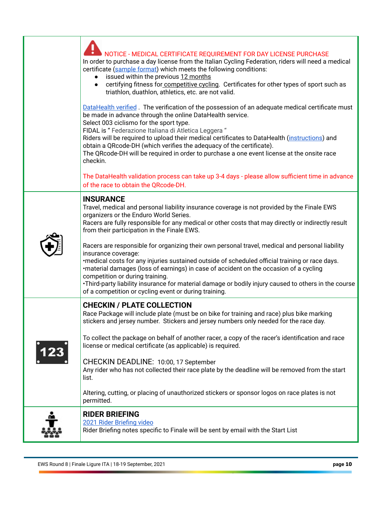| NOTICE - MEDICAL CERTIFICATE REQUIREMENT FOR DAY LICENSE PURCHASE<br>In order to purchase a day license from the Italian Cycling Federation, riders will need a medical<br>certificate (sample format) which meets the following conditions:<br>issued within the previous 12 months<br>certifying fitness for competitive cycling. Certificates for other types of sport such as<br>triathlon, duathlon, athletics, etc. are not valid.                                                                                                          |
|---------------------------------------------------------------------------------------------------------------------------------------------------------------------------------------------------------------------------------------------------------------------------------------------------------------------------------------------------------------------------------------------------------------------------------------------------------------------------------------------------------------------------------------------------|
| DataHealth verified. The verification of the possession of an adequate medical certificate must<br>be made in advance through the online DataHealth service.<br>Select 003 ciclismo for the sport type.<br>FIDAL is "Federazione Italiana di Atletica Leggera"<br>Riders will be required to upload their medical certificates to DataHealth (instructions) and<br>obtain a QRcode-DH (which verifies the adequacy of the certificate).<br>The QRcode-DH will be required in order to purchase a one event license at the onsite race<br>checkin. |
| The DataHealth validation process can take up 3-4 days - please allow sufficient time in advance<br>of the race to obtain the QRcode-DH.                                                                                                                                                                                                                                                                                                                                                                                                          |
| <b>INSURANCE</b><br>Travel, medical and personal liability insurance coverage is not provided by the Finale EWS<br>organizers or the Enduro World Series.<br>Racers are fully responsible for any medical or other costs that may directly or indirectly result<br>from their participation in the Finale EWS.                                                                                                                                                                                                                                    |
| Racers are responsible for organizing their own personal travel, medical and personal liability<br>insurance coverage:<br>•medical costs for any injuries sustained outside of scheduled official training or race days.<br>·material damages (loss of earnings) in case of accident on the occasion of a cycling<br>competition or during training.<br>•Third-party liability insurance for material damage or bodily injury caused to others in the course<br>of a competition or cycling event or during training.                             |
| <b>CHECKIN / PLATE COLLECTION</b><br>Race Package will include plate (must be on bike for training and race) plus bike marking<br>stickers and jersey number. Stickers and jersey numbers only needed for the race day.                                                                                                                                                                                                                                                                                                                           |
| To collect the package on behalf of another racer, a copy of the racer's identification and race<br>license or medical certificate (as applicable) is required.<br>CHECKIN DEADLINE: 10:00, 17 September<br>Any rider who has not collected their race plate by the deadline will be removed from the start<br>list.<br>Altering, cutting, or placing of unauthorized stickers or sponsor logos on race plates is not<br>permitted.                                                                                                               |
| <b>RIDER BRIEFING</b><br>2021 Rider Briefing video<br>Rider Briefing notes specific to Finale will be sent by email with the Start List                                                                                                                                                                                                                                                                                                                                                                                                           |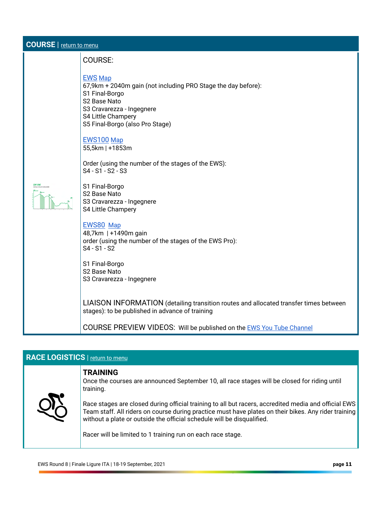<span id="page-10-0"></span>

| <b>COURSE</b>   return to menu |                                                                                                                                                                                                                       |  |
|--------------------------------|-----------------------------------------------------------------------------------------------------------------------------------------------------------------------------------------------------------------------|--|
|                                | <b>COURSE:</b>                                                                                                                                                                                                        |  |
|                                | <b>EWS Map</b><br>67,9km + 2040m gain (not including PRO Stage the day before):<br>S1 Final-Borgo<br>S2 Base Nato<br>S3 Cravarezza - Ingegnere<br>S4 Little Champery<br>S5 Final-Borgo (also Pro Stage)<br>EWS100 Map |  |
|                                | 55,5km   +1853m<br>Order (using the number of the stages of the EWS):<br>S4 - S1 - S2 - S3                                                                                                                            |  |
|                                | S1 Final-Borgo<br>S2 Base Nato<br>S3 Cravarezza - Ingegnere<br>S4 Little Champery                                                                                                                                     |  |
|                                | EWS80 Map<br>48,7km   +1490m gain<br>order (using the number of the stages of the EWS Pro):<br>S4 - S1 - S2                                                                                                           |  |
|                                | S1 Final-Borgo<br>S <sub>2</sub> Base Nato<br>S3 Cravarezza - Ingegnere                                                                                                                                               |  |
|                                | LIAISON INFORMATION (detailing transition routes and allocated transfer times between<br>stages): to be published in advance of training                                                                              |  |
|                                | COURSE PREVIEW VIDEOS: Will be published on the <b>EWS You Tube Channel</b>                                                                                                                                           |  |

# <span id="page-10-1"></span>**RACE LOGISTICS** | [return to menu](#page-0-0)

# **TRAINING**

 Once the courses are announced September 10, all race stages will be closed for riding until training.



 Race stages are closed during official training to all but racers, accredited media and official EWS Team staff. All riders on course during practice must have plates on their bikes. Any rider training without a plate or outside the official schedule will be disqualified.

Racer will be limited to 1 training run on each race stage.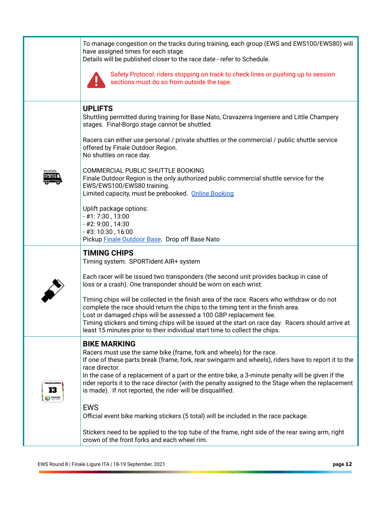|              | To manage congestion on the tracks during training, each group (EWS and EWS100/EWS80) will<br>have assigned times for each stage.<br>Details will be published closer to the race date - refer to Schedule.<br>Safety Protocol: riders stopping on track to check lines or pushing up to session<br>sections must do so from outside the tape.                                                                                                                                                                                                                                                        |
|--------------|-------------------------------------------------------------------------------------------------------------------------------------------------------------------------------------------------------------------------------------------------------------------------------------------------------------------------------------------------------------------------------------------------------------------------------------------------------------------------------------------------------------------------------------------------------------------------------------------------------|
|              | <b>UPLIFTS</b><br>Shuttling permitted during training for Base Nato, Cravazerra Ingeniere and Little Champery<br>stages. Final-Borgo stage cannot be shuttled.<br>Racers can either use personal / private shuttles or the commercial / public shuttle service<br>offered by Finale Outdoor Region.<br>No shuttles on race day.<br>COMMERCIAL PUBLIC SHUTTLE BOOKING<br>Finale Outdoor Region is the only authorized public commercial shuttle service for the<br>EWS/EWS100/EWS80 training.<br>Limited capacity, must be prebooked. Online Booking<br>Uplift package options:<br>$-$ #1: 7:30, 13:00 |
|              | - #2: 9:00, 14:30<br>$-$ #3: 10:30, 16:00<br>Pickup Finale Outdoor Base. Drop off Base Nato                                                                                                                                                                                                                                                                                                                                                                                                                                                                                                           |
|              | <b>TIMING CHIPS</b><br>Timing system: SPORTident AIR+ system                                                                                                                                                                                                                                                                                                                                                                                                                                                                                                                                          |
|              | Each racer will be issued two transponders (the second unit provides backup in case of<br>loss or a crash). One transponder should be worn on each wrist.                                                                                                                                                                                                                                                                                                                                                                                                                                             |
|              | Timing chips will be collected in the finish area of the race. Racers who withdraw or do not<br>complete the race should return the chips to the timing tent in the finish area.<br>Lost or damaged chips will be assessed a 100 GBP replacement fee.<br>Timing stickers and timing chips will be issued at the start on race day. Racers should arrive at<br>least 15 minutes prior to their individual start time to collect the chips.                                                                                                                                                             |
|              | <b>BIKE MARKING</b><br>Racers must use the same bike (frame, fork and wheels) for the race.<br>If one of these parts break (frame, fork, rear swingarm and wheels), riders have to report it to the<br>race director.                                                                                                                                                                                                                                                                                                                                                                                 |
| 13<br>enouno | In the case of a replacement of a part or the entire bike, a 3-minute penalty will be given if the<br>rider reports it to the race director (with the penalty assigned to the Stage when the replacement<br>is made). If not reported, the rider will be disqualified.                                                                                                                                                                                                                                                                                                                                |
|              | <b>EWS</b><br>Official event bike marking stickers (5 total) will be included in the race package.                                                                                                                                                                                                                                                                                                                                                                                                                                                                                                    |
|              | Stickers need to be applied to the top tube of the frame, right side of the rear swing arm, right<br>crown of the front forks and each wheel rim.                                                                                                                                                                                                                                                                                                                                                                                                                                                     |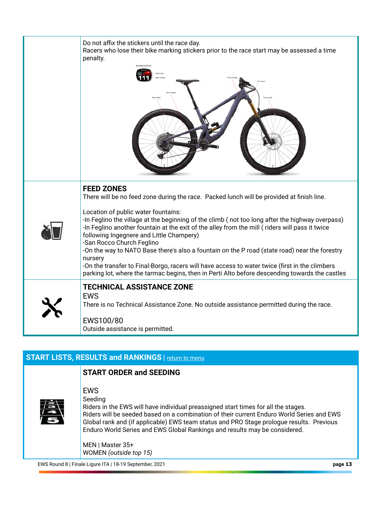| Do not affix the stickers until the race day.<br>Racers who lose their bike marking stickers prior to the race start may be assessed a time<br>penalty.                                                                                                                                                                                                                                                                                                                                                                                                                                                                                                                                                                                             |
|-----------------------------------------------------------------------------------------------------------------------------------------------------------------------------------------------------------------------------------------------------------------------------------------------------------------------------------------------------------------------------------------------------------------------------------------------------------------------------------------------------------------------------------------------------------------------------------------------------------------------------------------------------------------------------------------------------------------------------------------------------|
| <b>FEED ZONES</b><br>There will be no feed zone during the race. Packed lunch will be provided at finish line.<br>Location of public water fountains:<br>-In Feglino the village at the beginning of the climb (not too long after the highway overpass)<br>-In Feglino another fountain at the exit of the alley from the mill (riders will pass it twice<br>following Ingegnere and Little Champery)<br>-San Rocco Church Feglino<br>-On the way to NATO Base there's also a fountain on the P road (state road) near the forestry<br>nursery<br>-On the transfer to Final-Borgo, racers will have access to water twice (first in the climbers<br>parking lot, where the tarmac begins, then in Perti Alto before descending towards the castles |
| <b>TECHNICAL ASSISTANCE ZONE</b><br><b>EWS</b><br>There is no Technical Assistance Zone. No outside assistance permitted during the race.<br>EWS100/80<br>Outside assistance is permitted.                                                                                                                                                                                                                                                                                                                                                                                                                                                                                                                                                          |

# <span id="page-12-0"></span>**START LISTS, RESULTS and RANKINGS** | return to menu

#### **START ORDER and SEEDING**



 EWS Seeding

 Riders in the EWS will have individual preassigned start times for all the stages. Riders will be seeded based on a combination of their current Enduro World Series and EWS Global rank and (if applicable) EWS team status and PRO Stage prologue results. Previous Enduro World Series and EWS Global Rankings and results may be considered.

 MEN | Master 35+ WOMEN *(outside top 15)* 

EWS Round 8 | Finale Ligure ITA | 18-19 September, 2021 **page 13**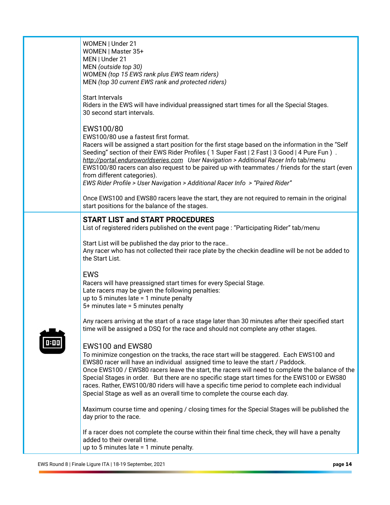| WOMEN   Under 21<br>WOMEN   Master 35+<br>MEN   Under 21<br>MEN (outside top 30)<br>WOMEN (top 15 EWS rank plus EWS team riders)<br>MEN (top 30 current EWS rank and protected riders)                                                                                                                                                                                                                                                                                                                                                                                         |
|--------------------------------------------------------------------------------------------------------------------------------------------------------------------------------------------------------------------------------------------------------------------------------------------------------------------------------------------------------------------------------------------------------------------------------------------------------------------------------------------------------------------------------------------------------------------------------|
| <b>Start Intervals</b><br>Riders in the EWS will have individual preassigned start times for all the Special Stages.<br>30 second start intervals.                                                                                                                                                                                                                                                                                                                                                                                                                             |
| EWS100/80<br>EWS100/80 use a fastest first format.<br>Racers will be assigned a start position for the first stage based on the information in the "Self<br>Seeding" section of their EWS Rider Profiles (1 Super Fast   2 Fast   3 Good   4 Pure Fun).<br>http://portal.enduroworldseries.com User Navigation > Additional Racer Info tab/menu<br>EWS100/80 racers can also request to be paired up with teammates / friends for the start (even<br>from different categories).<br>EWS Rider Profile > User Navigation > Additional Racer Info > "Paired Rider"               |
| Once EWS100 and EWS80 racers leave the start, they are not required to remain in the original<br>start positions for the balance of the stages.                                                                                                                                                                                                                                                                                                                                                                                                                                |
| <b>START LIST and START PROCEDURES</b><br>List of registered riders published on the event page : "Participating Rider" tab/menu                                                                                                                                                                                                                                                                                                                                                                                                                                               |
| Start List will be published the day prior to the race<br>Any racer who has not collected their race plate by the checkin deadline will be not be added to<br>the Start List.                                                                                                                                                                                                                                                                                                                                                                                                  |
| <b>EWS</b><br>Racers will have preassigned start times for every Special Stage.<br>Late racers may be given the following penalties:<br>up to 5 minutes late $= 1$ minute penalty<br>5+ minutes late = 5 minutes penalty                                                                                                                                                                                                                                                                                                                                                       |
| Any racers arriving at the start of a race stage later than 30 minutes after their specified start<br>time will be assigned a DSQ for the race and should not complete any other stages.                                                                                                                                                                                                                                                                                                                                                                                       |
| EWS100 and EWS80<br>To minimize congestion on the tracks, the race start will be staggered. Each EWS100 and<br>EWS80 racer will have an individual assigned time to leave the start / Paddock.<br>Once EWS100 / EWS80 racers leave the start, the racers will need to complete the balance of the<br>Special Stages in order. But there are no specific stage start times for the EWS100 or EWS80<br>races. Rather, EWS100/80 riders will have a specific time period to complete each individual<br>Special Stage as well as an overall time to complete the course each day. |
| Maximum course time and opening / closing times for the Special Stages will be published the<br>day prior to the race.                                                                                                                                                                                                                                                                                                                                                                                                                                                         |
| If a racer does not complete the course within their final time check, they will have a penalty<br>added to their overall time.<br>up to 5 minutes late $= 1$ minute penalty.                                                                                                                                                                                                                                                                                                                                                                                                  |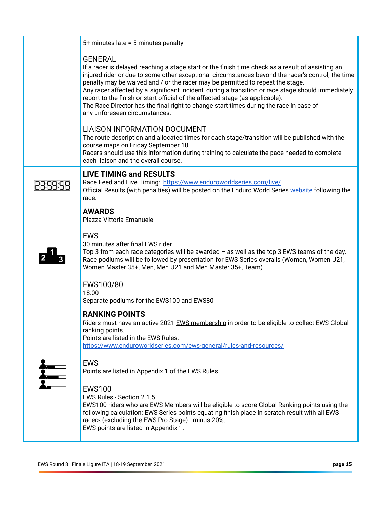|                  | $5+$ minutes late = 5 minutes penalty                                                                                                                                                                                                                                                                                                                                                                                                                                                                                                                                                                                                                               |
|------------------|---------------------------------------------------------------------------------------------------------------------------------------------------------------------------------------------------------------------------------------------------------------------------------------------------------------------------------------------------------------------------------------------------------------------------------------------------------------------------------------------------------------------------------------------------------------------------------------------------------------------------------------------------------------------|
|                  | <b>GENERAL</b><br>If a racer is delayed reaching a stage start or the finish time check as a result of assisting an<br>injured rider or due to some other exceptional circumstances beyond the racer's control, the time<br>penalty may be waived and / or the racer may be permitted to repeat the stage.<br>Any racer affected by a 'significant incident' during a transition or race stage should immediately<br>report to the finish or start official of the affected stage (as applicable).<br>The Race Director has the final right to change start times during the race in case of<br>any unforeseen circumstances.                                       |
|                  | <b>LIAISON INFORMATION DOCUMENT</b><br>The route description and allocated times for each stage/transition will be published with the<br>course maps on Friday September 10.<br>Racers should use this information during training to calculate the pace needed to complete<br>each liaison and the overall course.                                                                                                                                                                                                                                                                                                                                                 |
|                  | <b>LIVE TIMING and RESULTS</b><br>Race Feed and Live Timing: https://www.enduroworldseries.com/live/<br>Official Results (with penalties) will be posted on the Enduro World Series website following the<br>race.                                                                                                                                                                                                                                                                                                                                                                                                                                                  |
|                  | <b>AWARDS</b><br>Piazza Vittoria Emanuele<br><b>EWS</b><br>30 minutes after final EWS rider<br>Top 3 from each race categories will be awarded $-$ as well as the top 3 EWS teams of the day.<br>Race podiums will be followed by presentation for EWS Series overalls (Women, Women U21,<br>Women Master 35+, Men, Men U21 and Men Master 35+, Team)<br>EWS100/80<br>18:00<br>Separate podiums for the EWS100 and EWS80                                                                                                                                                                                                                                            |
| $\sum_{i=1}^{n}$ | <b>RANKING POINTS</b><br>Riders must have an active 2021 EWS membership in order to be eligible to collect EWS Global<br>ranking points.<br>Points are listed in the EWS Rules:<br>https://www.enduroworldseries.com/ews-general/rules-and-resources/<br><b>EWS</b><br>Points are listed in Appendix 1 of the EWS Rules.<br><b>EWS100</b><br>EWS Rules - Section 2.1.5<br>EWS100 riders who are EWS Members will be eligible to score Global Ranking points using the<br>following calculation: EWS Series points equating finish place in scratch result with all EWS<br>racers (excluding the EWS Pro Stage) - minus 20%.<br>EWS points are listed in Appendix 1. |
|                  |                                                                                                                                                                                                                                                                                                                                                                                                                                                                                                                                                                                                                                                                     |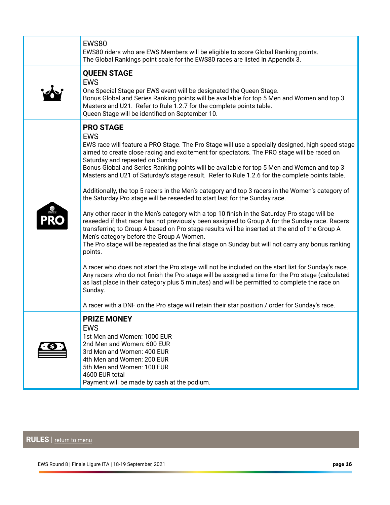| EWS80<br>EWS80 riders who are EWS Members will be eligible to score Global Ranking points.<br>The Global Rankings point scale for the EWS80 races are listed in Appendix 3.                                                                                                                                                                                                                                                                                                                                                                                                                                                                                                                                                                                                                                                                                                                                                                                                                                                                                                                                                                                                                                                                                                                                                                                                                                                                                                                                                                  |
|----------------------------------------------------------------------------------------------------------------------------------------------------------------------------------------------------------------------------------------------------------------------------------------------------------------------------------------------------------------------------------------------------------------------------------------------------------------------------------------------------------------------------------------------------------------------------------------------------------------------------------------------------------------------------------------------------------------------------------------------------------------------------------------------------------------------------------------------------------------------------------------------------------------------------------------------------------------------------------------------------------------------------------------------------------------------------------------------------------------------------------------------------------------------------------------------------------------------------------------------------------------------------------------------------------------------------------------------------------------------------------------------------------------------------------------------------------------------------------------------------------------------------------------------|
| <b>QUEEN STAGE</b><br><b>EWS</b><br>One Special Stage per EWS event will be designated the Queen Stage.<br>Bonus Global and Series Ranking points will be available for top 5 Men and Women and top 3<br>Masters and U21. Refer to Rule 1.2.7 for the complete points table.<br>Queen Stage will be identified on September 10.                                                                                                                                                                                                                                                                                                                                                                                                                                                                                                                                                                                                                                                                                                                                                                                                                                                                                                                                                                                                                                                                                                                                                                                                              |
| <b>PRO STAGE</b><br><b>EWS</b><br>EWS race will feature a PRO Stage. The Pro Stage will use a specially designed, high speed stage<br>aimed to create close racing and excitement for spectators. The PRO stage will be raced on<br>Saturday and repeated on Sunday.<br>Bonus Global and Series Ranking points will be available for top 5 Men and Women and top 3<br>Masters and U21 of Saturday's stage result. Refer to Rule 1.2.6 for the complete points table.<br>Additionally, the top 5 racers in the Men's category and top 3 racers in the Women's category of<br>the Saturday Pro stage will be reseeded to start last for the Sunday race.<br>Any other racer in the Men's category with a top 10 finish in the Saturday Pro stage will be<br>reseeded if that racer has not previously been assigned to Group A for the Sunday race. Racers<br>transferring to Group A based on Pro stage results will be inserted at the end of the Group A<br>Men's category before the Group A Women.<br>The Pro stage will be repeated as the final stage on Sunday but will not carry any bonus ranking<br>points.<br>A racer who does not start the Pro stage will not be included on the start list for Sunday's race.<br>Any racers who do not finish the Pro stage will be assigned a time for the Pro stage (calculated<br>as last place in their category plus 5 minutes) and will be permitted to complete the race on<br>Sunday.<br>A racer with a DNF on the Pro stage will retain their star position / order for Sunday's race. |
| <b>PRIZE MONEY</b><br><b>EWS</b><br>1st Men and Women: 1000 EUR<br>2nd Men and Women: 600 EUR<br>3rd Men and Women: 400 EUR<br>4th Men and Women: 200 EUR<br>5th Men and Women: 100 EUR<br>4600 EUR total<br>Payment will be made by cash at the podium.                                                                                                                                                                                                                                                                                                                                                                                                                                                                                                                                                                                                                                                                                                                                                                                                                                                                                                                                                                                                                                                                                                                                                                                                                                                                                     |

<span id="page-15-0"></span> **RULES** | [return to menu](#page-0-0)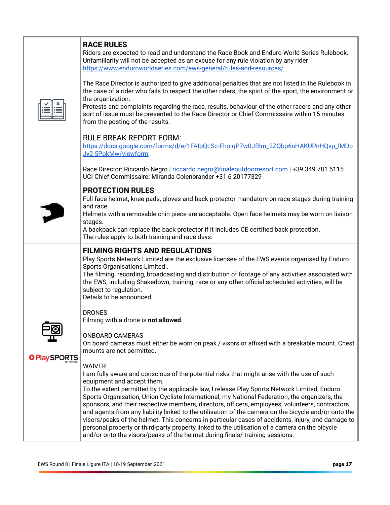|                      | <b>RACE RULES</b><br>Riders are expected to read and understand the Race Book and Enduro World Series Rulebook.<br>Unfamiliarity will not be accepted as an excuse for any rule violation by any rider<br>https://www.enduroworldseries.com/ews-general/rules-and-resources/<br>The Race Director is authorized to give additional penalties that are not listed in the Rulebook in<br>the case of a rider who fails to respect the other riders, the spirit of the sport, the environment or<br>the organization.<br>Protests and complaints regarding the race, results, behaviour of the other racers and any other<br>sort of issue must be presented to the Race Director or Chief Commissaire within 15 minutes<br>from the posting of the results.<br><b>RULE BREAK REPORT FORM:</b><br>https://docs.google.com/forms/d/e/1FAIpQLSc-FholgP7w0Jf8m_2ZQbp6nHAKUPnHQvp_IMDb<br>Jy2-5PpkMw/viewform<br>Race Director: Riccardo Negro   riccardo.negro@finaleoutdoorresort.com   +39 349 781 5115<br>UCI Chief Commissaire: Miranda Colenbrander +31 6 20177329                                                                                                                                                                                                                                                                                                                                                                                                                                          |
|----------------------|------------------------------------------------------------------------------------------------------------------------------------------------------------------------------------------------------------------------------------------------------------------------------------------------------------------------------------------------------------------------------------------------------------------------------------------------------------------------------------------------------------------------------------------------------------------------------------------------------------------------------------------------------------------------------------------------------------------------------------------------------------------------------------------------------------------------------------------------------------------------------------------------------------------------------------------------------------------------------------------------------------------------------------------------------------------------------------------------------------------------------------------------------------------------------------------------------------------------------------------------------------------------------------------------------------------------------------------------------------------------------------------------------------------------------------------------------------------------------------------------------------|
|                      | <b>PROTECTION RULES</b><br>Full face helmet, knee pads, gloves and back protector mandatory on race stages during training<br>and race.<br>Helmets with a removable chin piece are acceptable. Open face helmets may be worn on liaison<br>stages.<br>A backpack can replace the back protector if it includes CE certified back protection.<br>The rules apply to both training and race days.                                                                                                                                                                                                                                                                                                                                                                                                                                                                                                                                                                                                                                                                                                                                                                                                                                                                                                                                                                                                                                                                                                            |
| <b>O</b> Play SPORTS | <b>FILMING RIGHTS AND REGULATIONS</b><br>Play Sports Network Limited are the exclusive licensee of the EWS events organised by Enduro<br>Sports Organisations Limited.<br>The filming, recording, broadcasting and distribution of footage of any activities associated with<br>the EWS, including Shakedown, training, race or any other official scheduled activities, will be<br>subject to regulation.<br>Details to be announced.<br><b>DRONES</b><br>Filming with a drone is not allowed.<br><b>ONBOARD CAMERAS</b><br>On board cameras must either be worn on peak / visors or affixed with a breakable mount. Chest<br>mounts are not permitted.<br><b>WAIVER</b><br>I am fully aware and conscious of the potential risks that might arise with the use of such<br>equipment and accept them.<br>To the extent permitted by the applicable law, I release Play Sports Network Limited, Enduro<br>Sports Organisation, Union Cycliste International, my National Federation, the organizers, the<br>sponsors, and their respective members, directors, officers, employees, volunteers, contractors<br>and agents from any liability linked to the utilisation of the camera on the bicycle and/or onto the<br>visors/peaks of the helmet. This concerns in particular cases of accidents, injury, and damage to<br>personal property or third-party property linked to the utilisation of a camera on the bicycle<br>and/or onto the visors/peaks of the helmet during finals/ training sessions. |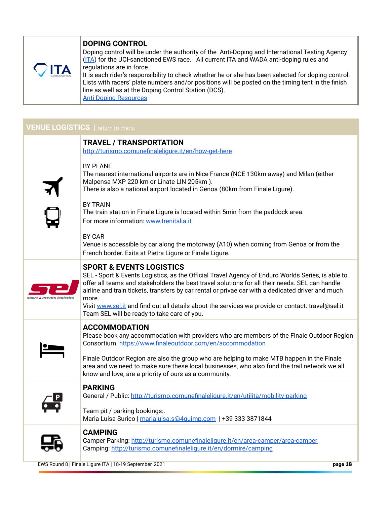# **DOPING CONTROL**



 $\frac{1}{2}$ 

 Doping control will be under the authority of the Anti-Doping and International Testing Agency ([ITA](http://www.ita.sport/)) for the UCI-sanctioned EWS race. All current ITA and WADA anti-doping rules and regulations are in force.

 It is each rider's responsibility to check whether he or she has been selected for doping control. Lists with racers' plate numbers and/or positions will be posted on the timing tent in the finish line as well as at the Doping Control Station (DCS).  [Anti Doping Resources](https://www.enduroworldseries.com/ews-general/rules-and-resources/) 

# <span id="page-17-0"></span>**VENUE LOGISTICS** | return to menu

|                 | <b>TRAVEL / TRANSPORTATION</b>                                                                                                                                                                                                                                                                                                                                                                                                                                |
|-----------------|---------------------------------------------------------------------------------------------------------------------------------------------------------------------------------------------------------------------------------------------------------------------------------------------------------------------------------------------------------------------------------------------------------------------------------------------------------------|
|                 | http://turismo.comunefinaleligure.it/en/how-get-here                                                                                                                                                                                                                                                                                                                                                                                                          |
|                 | <b>BY PLANE</b><br>The nearest international airports are in Nice France (NCE 130km away) and Milan (either<br>Malpensa MXP 220 km or Linate LIN 205km).<br>There is also a national airport located in Genoa (80km from Finale Ligure).                                                                                                                                                                                                                      |
|                 | <b>BY TRAIN</b><br>The train station in Finale Ligure is located within 5min from the paddock area.<br>For more information: www.trenitalia.it                                                                                                                                                                                                                                                                                                                |
|                 | BY CAR<br>Venue is accessible by car along the motorway (A10) when coming from Genoa or from the<br>French border. Exits at Pietra Ligure or Finale Ligure.                                                                                                                                                                                                                                                                                                   |
| vents logistics | <b>SPORT &amp; EVENTS LOGISTICS</b><br>SEL - Sport & Events Logistics, as the Official Travel Agency of Enduro Worlds Series, is able to<br>offer all teams and stakeholders the best travel solutions for all their needs. SEL can handle<br>airline and train tickets, transfers by car rental or privae car with a dedicated driver and much<br>more.<br>Visit www.sel.it and find out all details about the services we provide or contact: travel@sel.it |
|                 | Team SEL will be ready to take care of you.                                                                                                                                                                                                                                                                                                                                                                                                                   |
|                 | <b>ACCOMMODATION</b><br>Please book any accommodation with providers who are members of the Finale Outdoor Region<br>Consortium. https://www.finaleoutdoor.com/en/accommodation                                                                                                                                                                                                                                                                               |
|                 | Finale Outdoor Region are also the group who are helping to make MTB happen in the Finale<br>area and we need to make sure these local businesses, who also fund the trail network we all<br>know and love, are a priority of ours as a community.                                                                                                                                                                                                            |
|                 | <b>PARKING</b><br>General / Public: http://turismo.comunefinaleligure.it/en/utilita/mobility-parking                                                                                                                                                                                                                                                                                                                                                          |
|                 | Team pit / parking bookings:.<br>Maria Luisa Surico   marialuisa.s@4guimp.com   +39 333 3871844                                                                                                                                                                                                                                                                                                                                                               |
|                 | <b>CAMPING</b><br>Camper Parking: http://turismo.comunefinaleligure.it/en/area-camper/area-camper<br>Camping: http://turismo.comunefinaleligure.it/en/dormire/camping                                                                                                                                                                                                                                                                                         |

EWS Round 8 | Finale Ligure ITA | 18-19 September, 2021 **page 18**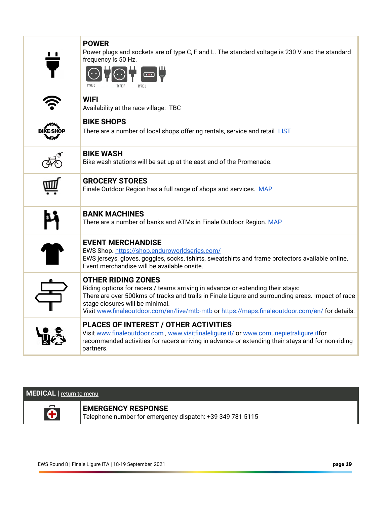| <b>POWER</b><br>Power plugs and sockets are of type C, F and L. The standard voltage is 230 V and the standard<br>frequency is 50 Hz.                                                                                                                                                                                                                  |
|--------------------------------------------------------------------------------------------------------------------------------------------------------------------------------------------------------------------------------------------------------------------------------------------------------------------------------------------------------|
| <b>WIFI</b><br>Availability at the race village: TBC                                                                                                                                                                                                                                                                                                   |
| <b>BIKE SHOPS</b><br>There are a number of local shops offering rentals, service and retail LIST                                                                                                                                                                                                                                                       |
| <b>BIKE WASH</b><br>Bike wash stations will be set up at the east end of the Promenade.                                                                                                                                                                                                                                                                |
| <b>GROCERY STORES</b><br>Finale Outdoor Region has a full range of shops and services. MAP                                                                                                                                                                                                                                                             |
| <b>BANK MACHINES</b><br>There are a number of banks and ATMs in Finale Outdoor Region. MAP                                                                                                                                                                                                                                                             |
| <b>EVENT MERCHANDISE</b><br>EWS Shop. https://shop.enduroworldseries.com/<br>EWS jerseys, gloves, goggles, socks, tshirts, sweatshirts and frame protectors available online.<br>Event merchandise will be available onsite.                                                                                                                           |
| <b>OTHER RIDING ZONES</b><br>Riding options for racers / teams arriving in advance or extending their stays:<br>There are over 500kms of tracks and trails in Finale Ligure and surrounding areas. Impact of race<br>stage closures will be minimal.<br>Visit www.finaleoutdoor.com/en/live/mtb-mtb or https://maps.finaleoutdoor.com/en/ for details. |
| <b>PLACES OF INTEREST / OTHER ACTIVITIES</b><br>Visit www.finaleoutdoor.com, www.visitfinaleligure.it/ or www.comunepietraligure.itfor<br>recommended activities for racers arriving in advance or extending their stays and for non-riding<br>partners.                                                                                               |
|                                                                                                                                                                                                                                                                                                                                                        |

# <span id="page-18-0"></span>**MEDICAL** | [return to menu](#page-0-0)



 **EMERGENCY RESPONSE**  Telephone number for emergency dispatch: +39 349 781 5115